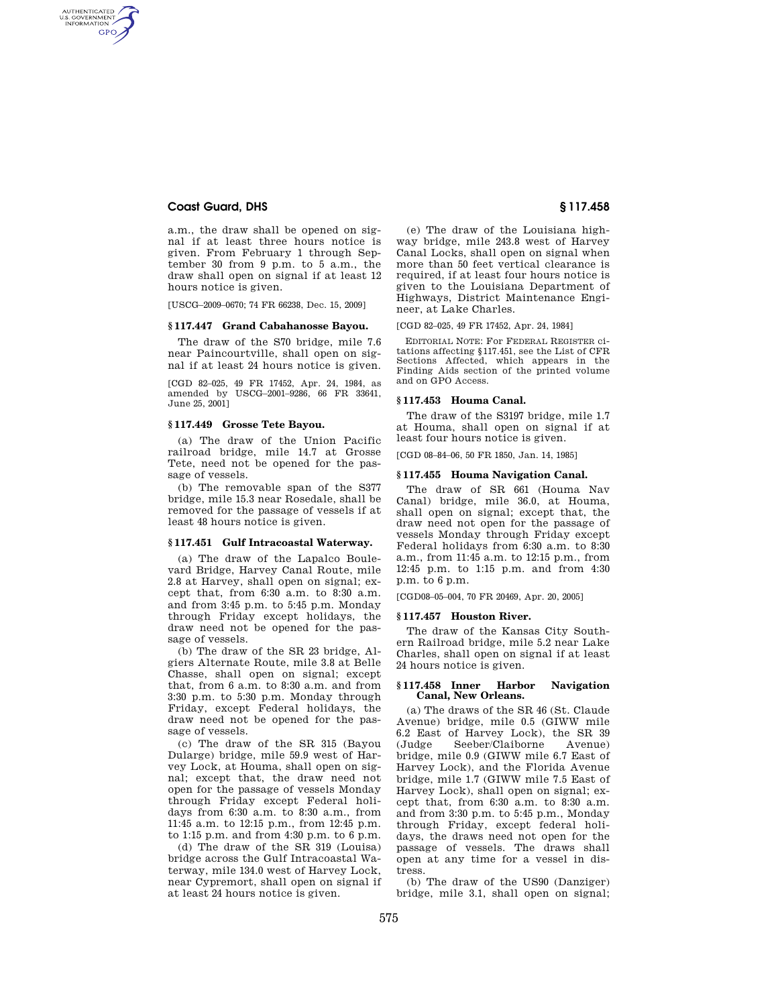# **Coast Guard, DHS § 117.458**

AUTHENTICATED<br>U.S. GOVERNMENT<br>INFORMATION **GPO** 

> a.m., the draw shall be opened on signal if at least three hours notice is given. From February 1 through September 30 from 9 p.m. to 5 a.m., the draw shall open on signal if at least 12 hours notice is given.

[USCG–2009–0670; 74 FR 66238, Dec. 15, 2009]

#### **§ 117.447 Grand Cabahanosse Bayou.**

The draw of the S70 bridge, mile 7.6 near Paincourtville, shall open on signal if at least 24 hours notice is given.

[CGD 82–025, 49 FR 17452, Apr. 24, 1984, as amended by USCG–2001–9286, 66 FR 33641, June 25, 20011

# **§ 117.449 Grosse Tete Bayou.**

(a) The draw of the Union Pacific railroad bridge, mile 14.7 at Grosse Tete, need not be opened for the passage of vessels.

(b) The removable span of the S377 bridge, mile 15.3 near Rosedale, shall be removed for the passage of vessels if at least 48 hours notice is given.

#### **§ 117.451 Gulf Intracoastal Waterway.**

(a) The draw of the Lapalco Boulevard Bridge, Harvey Canal Route, mile 2.8 at Harvey, shall open on signal; except that, from 6:30 a.m. to 8:30 a.m. and from 3:45 p.m. to 5:45 p.m. Monday through Friday except holidays, the draw need not be opened for the passage of vessels.

(b) The draw of the SR 23 bridge, Algiers Alternate Route, mile 3.8 at Belle Chasse, shall open on signal; except that, from 6 a.m. to 8:30 a.m. and from 3:30 p.m. to 5:30 p.m. Monday through Friday, except Federal holidays, the draw need not be opened for the passage of vessels.

(c) The draw of the SR 315 (Bayou Dularge) bridge, mile 59.9 west of Harvey Lock, at Houma, shall open on signal; except that, the draw need not open for the passage of vessels Monday through Friday except Federal holidays from 6:30 a.m. to 8:30 a.m., from 11:45 a.m. to 12:15 p.m., from 12:45 p.m. to 1:15 p.m. and from 4:30 p.m. to 6 p.m.

(d) The draw of the SR 319 (Louisa) bridge across the Gulf Intracoastal Waterway, mile 134.0 west of Harvey Lock, near Cypremort, shall open on signal if at least 24 hours notice is given.

(e) The draw of the Louisiana highway bridge, mile 243.8 west of Harvey Canal Locks, shall open on signal when more than 50 feet vertical clearance is required, if at least four hours notice is given to the Louisiana Department of Highways, District Maintenance Engineer, at Lake Charles.

[CGD 82–025, 49 FR 17452, Apr. 24, 1984]

EDITORIAL NOTE: For FEDERAL REGISTER citations affecting §117.451, see the List of CFR Sections Affected, which appears in the Finding Aids section of the printed volume and on GPO Access.

# **§ 117.453 Houma Canal.**

The draw of the S3197 bridge, mile 1.7 at Houma, shall open on signal if at least four hours notice is given.

[CGD 08–84–06, 50 FR 1850, Jan. 14, 1985]

#### **§ 117.455 Houma Navigation Canal.**

The draw of SR 661 (Houma Nav Canal) bridge, mile 36.0, at Houma, shall open on signal; except that, the draw need not open for the passage of vessels Monday through Friday except Federal holidays from 6:30 a.m. to 8:30 a.m., from 11:45 a.m. to 12:15 p.m., from 12:45 p.m. to 1:15 p.m. and from 4:30 p.m. to 6 p.m.

[CGD08–05–004, 70 FR 20469, Apr. 20, 2005]

## **§ 117.457 Houston River.**

The draw of the Kansas City Southern Railroad bridge, mile 5.2 near Lake Charles, shall open on signal if at least 24 hours notice is given.

### **§ 117.458 Inner Harbor Navigation Canal, New Orleans.**

(a) The draws of the SR 46 (St. Claude Avenue) bridge, mile 0.5 (GIWW mile 6.2 East of Harvey Lock), the SR 39 (Judge Seeber/Claiborne Avenue) bridge, mile 0.9 (GIWW mile 6.7 East of Harvey Lock), and the Florida Avenue bridge, mile 1.7 (GIWW mile 7.5 East of Harvey Lock), shall open on signal; except that, from 6:30 a.m. to 8:30 a.m. and from 3:30 p.m. to 5:45 p.m., Monday through Friday, except federal holidays, the draws need not open for the passage of vessels. The draws shall open at any time for a vessel in distress.

(b) The draw of the US90 (Danziger) bridge, mile 3.1, shall open on signal;